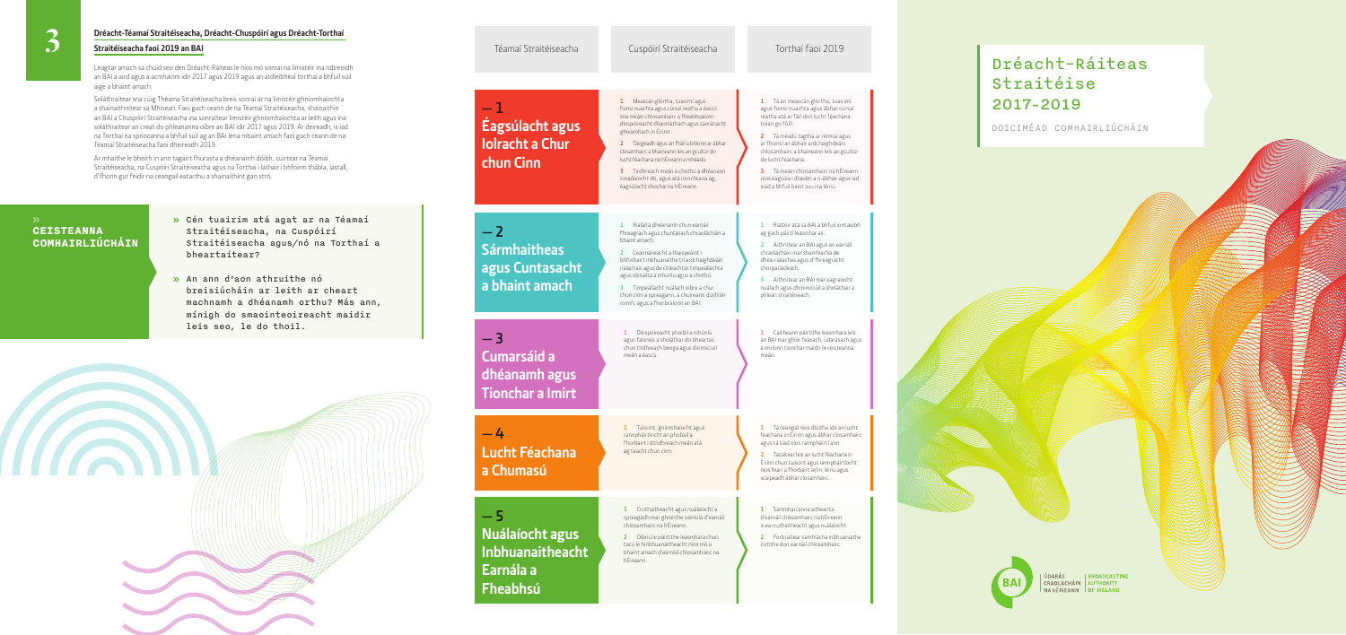#### Téamaí Straitéiseacha

#### Cuspóirí St

## **— 1 Éagsúlacht agus Iolracht a Chur chun Cinn**

## **— 2 Sármhaitheas agus Cuntasacht a bhaint amach**

**— 3 Cumarsáid a dhéanamh agus Tionchar a Imirt**

| Cuspóirí Straitéiseacha                                                                                                                                                                                                                                                                                                                                                                                                                                            | Torthaí faoi 2019                                                                                                                                                                                                                                                                                                                                                                                                       |  |
|--------------------------------------------------------------------------------------------------------------------------------------------------------------------------------------------------------------------------------------------------------------------------------------------------------------------------------------------------------------------------------------------------------------------------------------------------------------------|-------------------------------------------------------------------------------------------------------------------------------------------------------------------------------------------------------------------------------------------------------------------------------------------------------------------------------------------------------------------------------------------------------------------------|--|
|                                                                                                                                                                                                                                                                                                                                                                                                                                                                    |                                                                                                                                                                                                                                                                                                                                                                                                                         |  |
| Meascán glórtha, tuairimí agus<br>ı<br>foinsí nuachta agus cúrsaí reatha a éascú<br>sna meáin chlosamhairc a fheabhsaíonn<br>díospóireacht dhaonlathach agus saoránacht<br>ghníomhach in Éirinn.<br>Táirgeadh agus an fháil a bhíonn ar ábhar<br>2<br>closamhairc a bhaineann leis an gcultúr do<br>lucht féachana na hÉireann a mhéadú.<br>Tírdhreach meán a chothú a dhéanann<br>з<br>ionadaíocht do, agus atá inrochtana ag,<br>éagsúlacht shochaí na hÉireann. | Tá an meascán glórtha, tuairimí<br>ı<br>agus foinsí nuachta agus ábhar cúrsaí<br>reatha atá ar fáil don lucht féachana<br>tréan go fóill.<br>Tá méadú tagtha ar réimse agus<br>2<br>ar fhoinsí an ábhair ardchaighdeáin<br>chlosamhairc a bhaineann leis an gcultúr<br>do lucht féachana.<br>Tá meáin chlosamhairc na hÉireann<br>з<br>níos éagsúla i dtaobh a n-ábhair agus iad<br>siúd a bhfuil baint acu ina léiriú. |  |
| Rialáil a dhéanamh chun earnáil<br>1<br>fhreagrach agus chuntasach chraolacháin a<br>bhaint amach.<br>Ceannaireacht a thaispeáint i<br>2.<br>bhforbairt inbhuanaithe trí ardchaighdeáin<br>rialachais agus de chleachtas timpeallachta<br>agus sóisialta a mhúnlú agus a chothú.<br>Timpeallacht nuálach oibre a chur<br>3.<br>chun cinn a spreagann, a chuireann dúshlán<br>roimh, agus a fhorbraíonn an BAI.                                                     | Rialtóir atá sa BAI a bhfuil iontaoibh<br>ı<br>ag gach páirtí leasmhar as.<br>Aithnítear an BAI agus an earnáil<br>2<br>chraolacháin mar shamhlacha de<br>dhea-rialachas agus d'fhreagracht<br>chorparáideach.<br>Aithnítear an BAI mar eagraíocht<br>3<br>nuálach agus dhinimiciúil a sholáthair a<br>phlean straitéiseach.                                                                                            |  |
| Díospóireacht phoiblí a mhúnlú<br>ı<br>agus faisnéis a sholáthar do bheartas<br>chun tírdhreach beoga agus dinimiciuil<br>meán a éascú.                                                                                                                                                                                                                                                                                                                            | Caitheann páirtithe leasmhara leis<br>ı.<br>an BAI mar ghlór feasach, údarásach agus<br>a imríonn tionchar maidir le ceisteanna<br>meán.                                                                                                                                                                                                                                                                                |  |
| Tuiscint, gníomhaíocht agus<br>ı<br>rannpháirtíocht an phobail a<br>fhorbairt i dtírdhreach meán atá                                                                                                                                                                                                                                                                                                                                                               | Tá ceangal níos dlúithe idir an lucht<br>ı<br>féachana in Éirinn agus ábhar closamhairc<br>agus tá siad níos rannpháirtí ann.                                                                                                                                                                                                                                                                                           |  |

ag teacht chun cinn.

**1** Cruthaitheacht agus nuálaíocht a

spreagadh mar ghnéithe sainiúla d'earnáil chlosamhairc na hÉireann.

**2** Oibriú le páirtithe leasmhara chun

 $-4$ **Lucht Féachana a Chumasú**

> tacú le hinbhuanaitheacht níos mó a bhaint amach d'earnáil chlosamhairc na hÉireann.

agus tá siad níos rannpháirtí ann.

**2** Tacaítear leis an lucht féachana in Éirinn chun tuiscint agus rannpháirtíocht níos fearr a fhorbairt ar/in, léiriú agus scaipeadh ábhar closamhairc.

**1** Sainmharcanna aitheanta d'earnáil chlosamhairc na hÉireann is ea cruthaitheacht agus nuálaíocht.

**2** Forbraítear samhlacha inbhuanaithe cistithe don earnáil chlosamhairc.

**— 5 Nuálaíocht agus Inbhuanaitheacht Earnála a Fheabhsú**

#### **Dréacht-Téamaí Straitéiseacha, Dréacht-Chuspóirí agus Dréacht-Torthaí**

#### **Straitéiseacha faoi 2019 an BAI**

Leagtar amach sa chuid seo den Dréacht-Ráiteas le níos mó sonraí na limistéir ina ndíreoidh an BAI a aird agus a acmhainní idir 2017 agus 2019 agus an ardleibhéal torthaí a bhfuil súil aige a bhaint amach.

Soláthraítear sna cúig Théama Straitéiseacha breis sonraí ar na limistéir ghníomhaíochta a shainaithnítear sa Mhisean. Faoi gach ceann de na Téamaí Straitéiseacha, shainaithin an BAI a Chuspóirí Straitéiseacha ina sonraítear limistéir ghníomhaíochta ar leith agus ina soláthraítear an creat do phleananna oibre an BAI idir 2017 agus 2019. Ar deireadh, is iad na Torthaí na spriocanna a bhfuil súil ag an BAI lena mbaint amach faoi gach ceann de na Téamaí Straitéiseacha faoi dheireadh 2019.

Ar mhaithe le bheith in ann tagairt fhurasta a dhéanamh dóibh, cuirtear na Téamaí Straitéiseacha, na Cuspóirí Straitéiseacha agus na Torthaí i láthair i bhfoirm thábla, lastall, d'fhonn gur féidir na ceangail eatarthu a shainaithint gan stró.

# Dréacht-Ráiteas Straitéise 2017–2019

DOICIMÉAD COMHAIRLIÚCHÁIN

**I BROADCASTING** ÚDARÁS. CRAOLACHÁIN AUTHORITY NA hÉIREANN OF IRELAND

- **»** Cén tuairim atá agat ar na Téamaí Straitéiseacha, na Cuspóirí Straitéiseacha agus/nó na Torthaí a bheartaítear?
- **»** An ann d'aon athruithe nó breisiúcháin ar leith ar cheart machnamh a dhéanamh orthu? Más ann, mínigh do smaointeoireacht maidir leis seo, le do thoil.



### **CEISTEANNA COMHAIRLIÚCHÁIN**